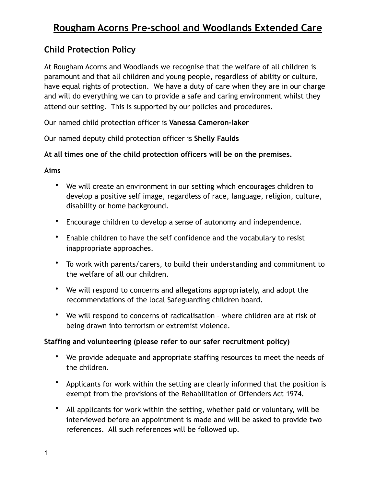### **Child Protection Policy**

At Rougham Acorns and Woodlands we recognise that the welfare of all children is paramount and that all children and young people, regardless of ability or culture, have equal rights of protection. We have a duty of care when they are in our charge and will do everything we can to provide a safe and caring environment whilst they attend our setting. This is supported by our policies and procedures.

Our named child protection officer is **Vanessa Cameron-laker** 

Our named deputy child protection officer is **Shelly Faulds** 

**At all times one of the child protection officers will be on the premises.** 

### **Aims**

- We will create an environment in our setting which encourages children to develop a positive self image, regardless of race, language, religion, culture, disability or home background.
- Encourage children to develop a sense of autonomy and independence.
- Enable children to have the self confidence and the vocabulary to resist inappropriate approaches.
- To work with parents/carers, to build their understanding and commitment to the welfare of all our children.
- We will respond to concerns and allegations appropriately, and adopt the recommendations of the local Safeguarding children board.
- We will respond to concerns of radicalisation where children are at risk of being drawn into terrorism or extremist violence.

### **Staffing and volunteering (please refer to our safer recruitment policy)**

- We provide adequate and appropriate staffing resources to meet the needs of the children.
- Applicants for work within the setting are clearly informed that the position is exempt from the provisions of the Rehabilitation of Offenders Act 1974.
- All applicants for work within the setting, whether paid or voluntary, will be interviewed before an appointment is made and will be asked to provide two references. All such references will be followed up.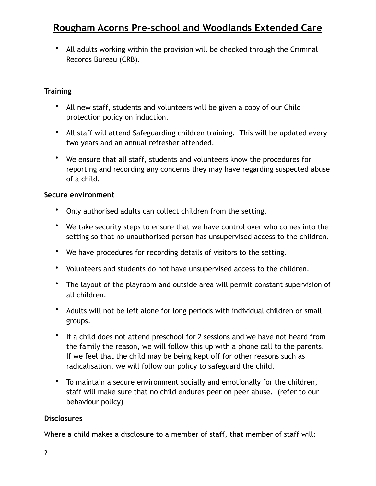• All adults working within the provision will be checked through the Criminal Records Bureau (CRB).

### **Training**

- All new staff, students and volunteers will be given a copy of our Child protection policy on induction.
- All staff will attend Safeguarding children training. This will be updated every two years and an annual refresher attended.
- We ensure that all staff, students and volunteers know the procedures for reporting and recording any concerns they may have regarding suspected abuse of a child.

### **Secure environment**

- Only authorised adults can collect children from the setting.
- We take security steps to ensure that we have control over who comes into the setting so that no unauthorised person has unsupervised access to the children.
- We have procedures for recording details of visitors to the setting.
- Volunteers and students do not have unsupervised access to the children.
- The layout of the playroom and outside area will permit constant supervision of all children.
- Adults will not be left alone for long periods with individual children or small groups.
- If a child does not attend preschool for 2 sessions and we have not heard from the family the reason, we will follow this up with a phone call to the parents. If we feel that the child may be being kept off for other reasons such as radicalisation, we will follow our policy to safeguard the child.
- To maintain a secure environment socially and emotionally for the children, staff will make sure that no child endures peer on peer abuse. (refer to our behaviour policy)

#### **Disclosures**

Where a child makes a disclosure to a member of staff, that member of staff will: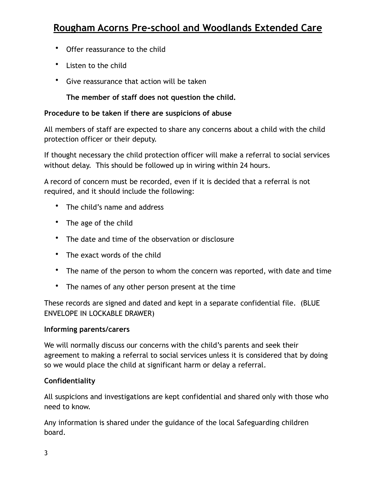- Offer reassurance to the child
- Listen to the child
- Give reassurance that action will be taken

**The member of staff does not question the child.** 

### **Procedure to be taken if there are suspicions of abuse**

All members of staff are expected to share any concerns about a child with the child protection officer or their deputy.

If thought necessary the child protection officer will make a referral to social services without delay. This should be followed up in wiring within 24 hours.

A record of concern must be recorded, even if it is decided that a referral is not required, and it should include the following:

- The child's name and address
- The age of the child
- The date and time of the observation or disclosure
- The exact words of the child
- The name of the person to whom the concern was reported, with date and time
- The names of any other person present at the time

These records are signed and dated and kept in a separate confidential file. (BLUE ENVELOPE IN LOCKABLE DRAWER)

#### **Informing parents/carers**

We will normally discuss our concerns with the child's parents and seek their agreement to making a referral to social services unless it is considered that by doing so we would place the child at significant harm or delay a referral.

#### **Confidentiality**

All suspicions and investigations are kept confidential and shared only with those who need to know.

Any information is shared under the guidance of the local Safeguarding children board.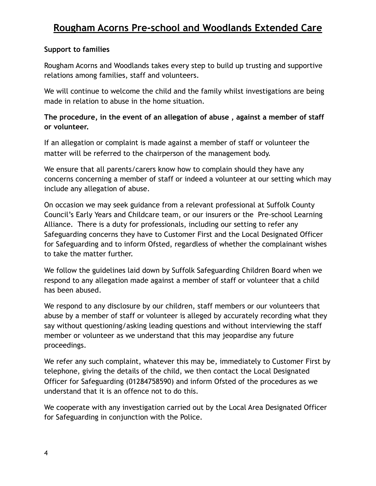### **Support to families**

Rougham Acorns and Woodlands takes every step to build up trusting and supportive relations among families, staff and volunteers.

We will continue to welcome the child and the family whilst investigations are being made in relation to abuse in the home situation.

**The procedure, in the event of an allegation of abuse , against a member of staff or volunteer.** 

If an allegation or complaint is made against a member of staff or volunteer the matter will be referred to the chairperson of the management body.

We ensure that all parents/carers know how to complain should they have any concerns concerning a member of staff or indeed a volunteer at our setting which may include any allegation of abuse.

On occasion we may seek guidance from a relevant professional at Suffolk County Council's Early Years and Childcare team, or our insurers or the Pre-school Learning Alliance. There is a duty for professionals, including our setting to refer any Safeguarding concerns they have to Customer First and the Local Designated Officer for Safeguarding and to inform Ofsted, regardless of whether the complainant wishes to take the matter further.

We follow the guidelines laid down by Suffolk Safeguarding Children Board when we respond to any allegation made against a member of staff or volunteer that a child has been abused.

We respond to any disclosure by our children, staff members or our volunteers that abuse by a member of staff or volunteer is alleged by accurately recording what they say without questioning/asking leading questions and without interviewing the staff member or volunteer as we understand that this may jeopardise any future proceedings.

We refer any such complaint, whatever this may be, immediately to Customer First by telephone, giving the details of the child, we then contact the Local Designated Officer for Safeguarding (01284758590) and inform Ofsted of the procedures as we understand that it is an offence not to do this.

We cooperate with any investigation carried out by the Local Area Designated Officer for Safeguarding in conjunction with the Police.